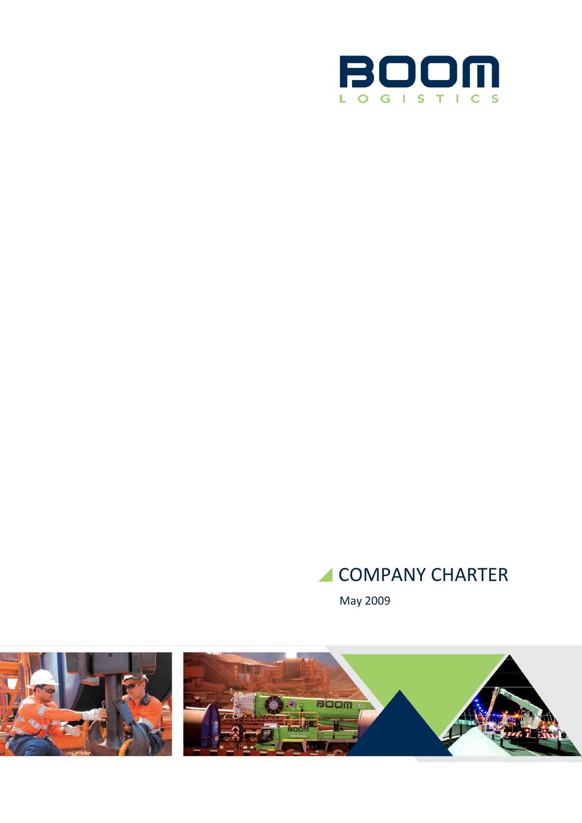

# COMPANY CHARTER

May 2009